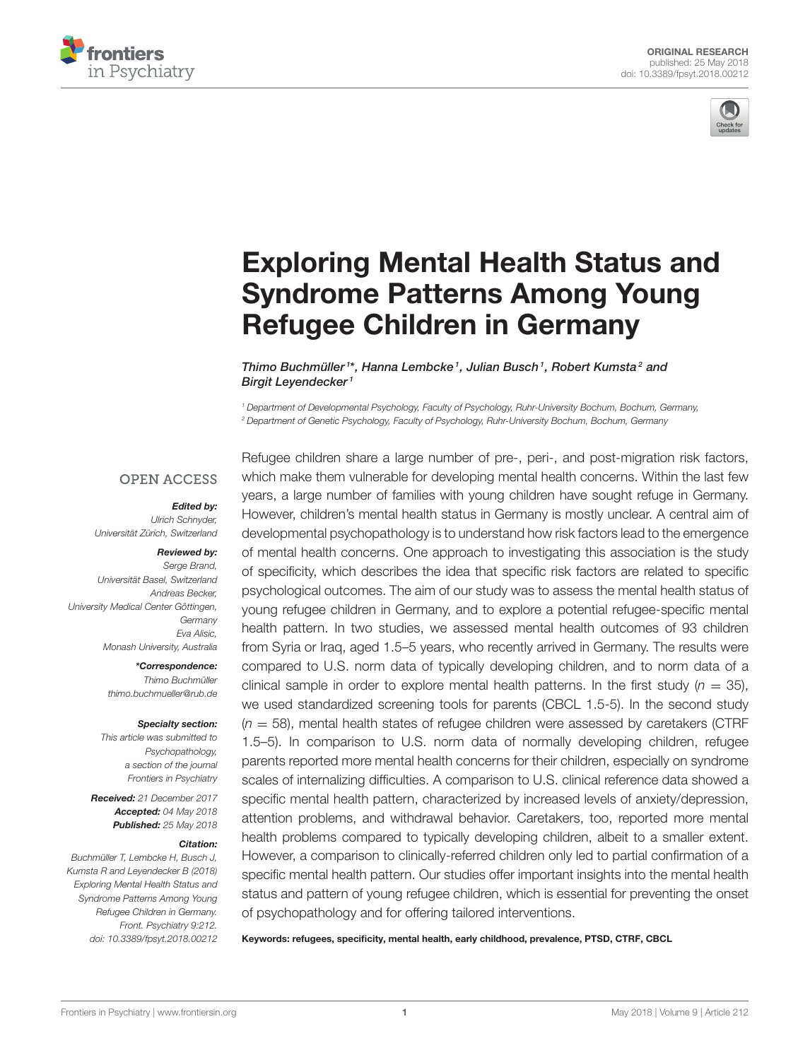



# [Exploring Mental Health Status and](https://www.frontiersin.org/articles/10.3389/fpsyt.2018.00212/full) Syndrome Patterns Among Young Refugee Children in Germany

[Thimo Buchmüller](http://loop.frontiersin.org/people/502838/overview)<sup>1\*</sup>, [Hanna Lembcke](http://loop.frontiersin.org/people/527574/overview)<sup>1</sup>, [Julian Busch](http://loop.frontiersin.org/people/526810/overview)<sup>1</sup>, [Robert Kumsta](http://loop.frontiersin.org/people/275968/overview)<sup>2</sup> and [Birgit Leyendecker](http://loop.frontiersin.org/people/461130/overview)<sup>1</sup>

<sup>1</sup> Department of Developmental Psychology, Faculty of Psychology, Ruhr-University Bochum, Bochum, Germany, <sup>2</sup> Department of Genetic Psychology, Faculty of Psychology, Ruhr-University Bochum, Bochum, Germany

## **OPEN ACCESS**

#### Edited by:

Ulrich Schnyder, Universität Zürich, Switzerland

#### Reviewed by:

Serge Brand, Universität Basel, Switzerland Andreas Becker, University Medical Center Göttingen, **Germany** Eva Alisic, Monash University, Australia

> \*Correspondence: Thimo Buchmüller [thimo.buchmueller@rub.de](mailto:thimo.buchmueller@rub.de)

#### Specialty section:

This article was submitted to Psychopathology, a section of the journal Frontiers in Psychiatry

Received: 21 December 2017 Accepted: 04 May 2018 Published: 25 May 2018

#### Citation:

Buchmüller T, Lembcke H, Busch J, Kumsta R and Leyendecker B (2018) Exploring Mental Health Status and Syndrome Patterns Among Young Refugee Children in Germany. Front. Psychiatry 9:212. doi: [10.3389/fpsyt.2018.00212](https://doi.org/10.3389/fpsyt.2018.00212)

Refugee children share a large number of pre-, peri-, and post-migration risk factors, which make them vulnerable for developing mental health concerns. Within the last few years, a large number of families with young children have sought refuge in Germany. However, children's mental health status in Germany is mostly unclear. A central aim of developmental psychopathology is to understand how risk factors lead to the emergence of mental health concerns. One approach to investigating this association is the study of specificity, which describes the idea that specific risk factors are related to specific psychological outcomes. The aim of our study was to assess the mental health status of young refugee children in Germany, and to explore a potential refugee-specific mental health pattern. In two studies, we assessed mental health outcomes of 93 children from Syria or Iraq, aged 1.5–5 years, who recently arrived in Germany. The results were compared to U.S. norm data of typically developing children, and to norm data of a clinical sample in order to explore mental health patterns. In the first study ( $n = 35$ ), we used standardized screening tools for parents (CBCL 1.5-5). In the second study  $(n = 58)$ , mental health states of refugee children were assessed by caretakers (CTRF) 1.5–5). In comparison to U.S. norm data of normally developing children, refugee parents reported more mental health concerns for their children, especially on syndrome scales of internalizing difficulties. A comparison to U.S. clinical reference data showed a specific mental health pattern, characterized by increased levels of anxiety/depression, attention problems, and withdrawal behavior. Caretakers, too, reported more mental health problems compared to typically developing children, albeit to a smaller extent. However, a comparison to clinically-referred children only led to partial confirmation of a specific mental health pattern. Our studies offer important insights into the mental health status and pattern of young refugee children, which is essential for preventing the onset of psychopathology and for offering tailored interventions.

Keywords: refugees, specificity, mental health, early childhood, prevalence, PTSD, CTRF, CBCL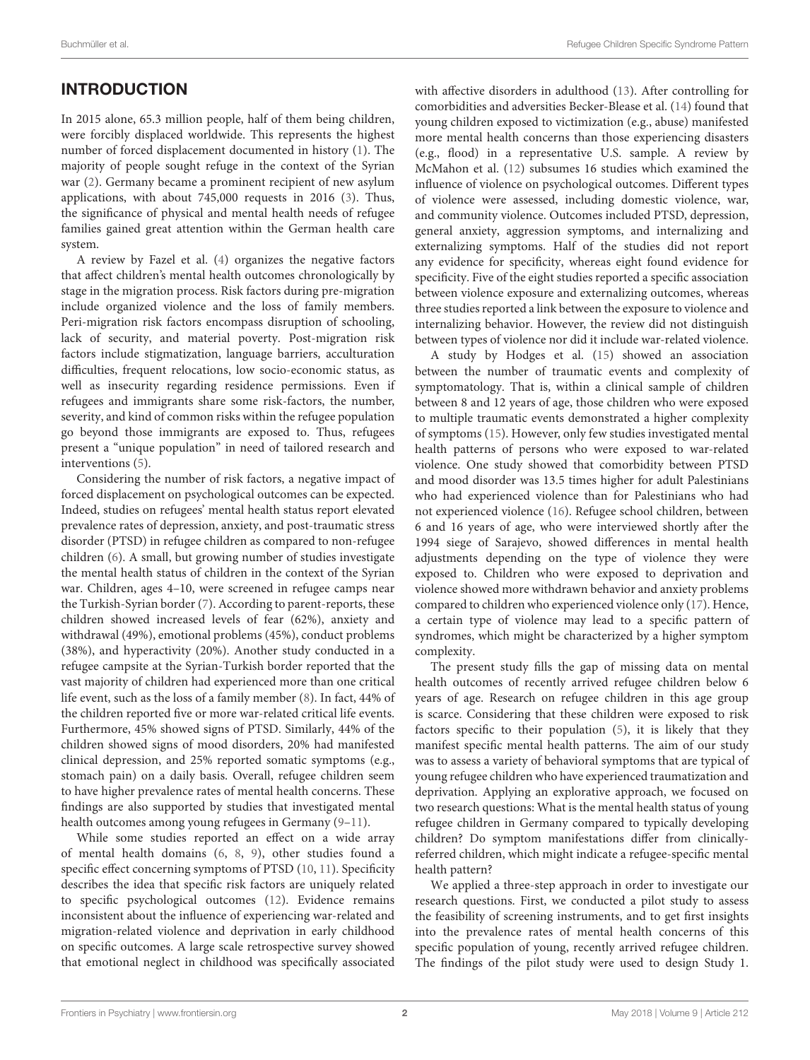# INTRODUCTION

In 2015 alone, 65.3 million people, half of them being children, were forcibly displaced worldwide. This represents the highest number of forced displacement documented in history [\(1\)](#page-10-0). The majority of people sought refuge in the context of the Syrian war [\(2\)](#page-10-1). Germany became a prominent recipient of new asylum applications, with about 745,000 requests in 2016 [\(3\)](#page-10-2). Thus, the significance of physical and mental health needs of refugee families gained great attention within the German health care system.

A review by Fazel et al. [\(4\)](#page-10-3) organizes the negative factors that affect children's mental health outcomes chronologically by stage in the migration process. Risk factors during pre-migration include organized violence and the loss of family members. Peri-migration risk factors encompass disruption of schooling, lack of security, and material poverty. Post-migration risk factors include stigmatization, language barriers, acculturation difficulties, frequent relocations, low socio-economic status, as well as insecurity regarding residence permissions. Even if refugees and immigrants share some risk-factors, the number, severity, and kind of common risks within the refugee population go beyond those immigrants are exposed to. Thus, refugees present a "unique population" in need of tailored research and interventions [\(5\)](#page-10-4).

Considering the number of risk factors, a negative impact of forced displacement on psychological outcomes can be expected. Indeed, studies on refugees' mental health status report elevated prevalence rates of depression, anxiety, and post-traumatic stress disorder (PTSD) in refugee children as compared to non-refugee children [\(6\)](#page-10-5). A small, but growing number of studies investigate the mental health status of children in the context of the Syrian war. Children, ages 4–10, were screened in refugee camps near the Turkish-Syrian border [\(7\)](#page-11-0). According to parent-reports, these children showed increased levels of fear (62%), anxiety and withdrawal (49%), emotional problems (45%), conduct problems (38%), and hyperactivity (20%). Another study conducted in a refugee campsite at the Syrian-Turkish border reported that the vast majority of children had experienced more than one critical life event, such as the loss of a family member [\(8\)](#page-11-1). In fact, 44% of the children reported five or more war-related critical life events. Furthermore, 45% showed signs of PTSD. Similarly, 44% of the children showed signs of mood disorders, 20% had manifested clinical depression, and 25% reported somatic symptoms (e.g., stomach pain) on a daily basis. Overall, refugee children seem to have higher prevalence rates of mental health concerns. These findings are also supported by studies that investigated mental health outcomes among young refugees in Germany [\(9–](#page-11-2)[11\)](#page-11-3).

While some studies reported an effect on a wide array of mental health domains [\(6,](#page-10-5) [8,](#page-11-1) [9\)](#page-11-2), other studies found a specific effect concerning symptoms of PTSD [\(10,](#page-11-4) [11\)](#page-11-3). Specificity describes the idea that specific risk factors are uniquely related to specific psychological outcomes [\(12\)](#page-11-5). Evidence remains inconsistent about the influence of experiencing war-related and migration-related violence and deprivation in early childhood on specific outcomes. A large scale retrospective survey showed that emotional neglect in childhood was specifically associated with affective disorders in adulthood [\(13\)](#page-11-6). After controlling for comorbidities and adversities Becker-Blease et al. [\(14\)](#page-11-7) found that young children exposed to victimization (e.g., abuse) manifested more mental health concerns than those experiencing disasters (e.g., flood) in a representative U.S. sample. A review by McMahon et al. [\(12\)](#page-11-5) subsumes 16 studies which examined the influence of violence on psychological outcomes. Different types of violence were assessed, including domestic violence, war, and community violence. Outcomes included PTSD, depression, general anxiety, aggression symptoms, and internalizing and externalizing symptoms. Half of the studies did not report any evidence for specificity, whereas eight found evidence for specificity. Five of the eight studies reported a specific association between violence exposure and externalizing outcomes, whereas three studies reported a link between the exposure to violence and internalizing behavior. However, the review did not distinguish between types of violence nor did it include war-related violence.

A study by Hodges et al. [\(15\)](#page-11-8) showed an association between the number of traumatic events and complexity of symptomatology. That is, within a clinical sample of children between 8 and 12 years of age, those children who were exposed to multiple traumatic events demonstrated a higher complexity of symptoms [\(15\)](#page-11-8). However, only few studies investigated mental health patterns of persons who were exposed to war-related violence. One study showed that comorbidity between PTSD and mood disorder was 13.5 times higher for adult Palestinians who had experienced violence than for Palestinians who had not experienced violence [\(16\)](#page-11-9). Refugee school children, between 6 and 16 years of age, who were interviewed shortly after the 1994 siege of Sarajevo, showed differences in mental health adjustments depending on the type of violence they were exposed to. Children who were exposed to deprivation and violence showed more withdrawn behavior and anxiety problems compared to children who experienced violence only [\(17\)](#page-11-10). Hence, a certain type of violence may lead to a specific pattern of syndromes, which might be characterized by a higher symptom complexity.

The present study fills the gap of missing data on mental health outcomes of recently arrived refugee children below 6 years of age. Research on refugee children in this age group is scarce. Considering that these children were exposed to risk factors specific to their population [\(5\)](#page-10-4), it is likely that they manifest specific mental health patterns. The aim of our study was to assess a variety of behavioral symptoms that are typical of young refugee children who have experienced traumatization and deprivation. Applying an explorative approach, we focused on two research questions: What is the mental health status of young refugee children in Germany compared to typically developing children? Do symptom manifestations differ from clinicallyreferred children, which might indicate a refugee-specific mental health pattern?

We applied a three-step approach in order to investigate our research questions. First, we conducted a pilot study to assess the feasibility of screening instruments, and to get first insights into the prevalence rates of mental health concerns of this specific population of young, recently arrived refugee children. The findings of the pilot study were used to design Study 1.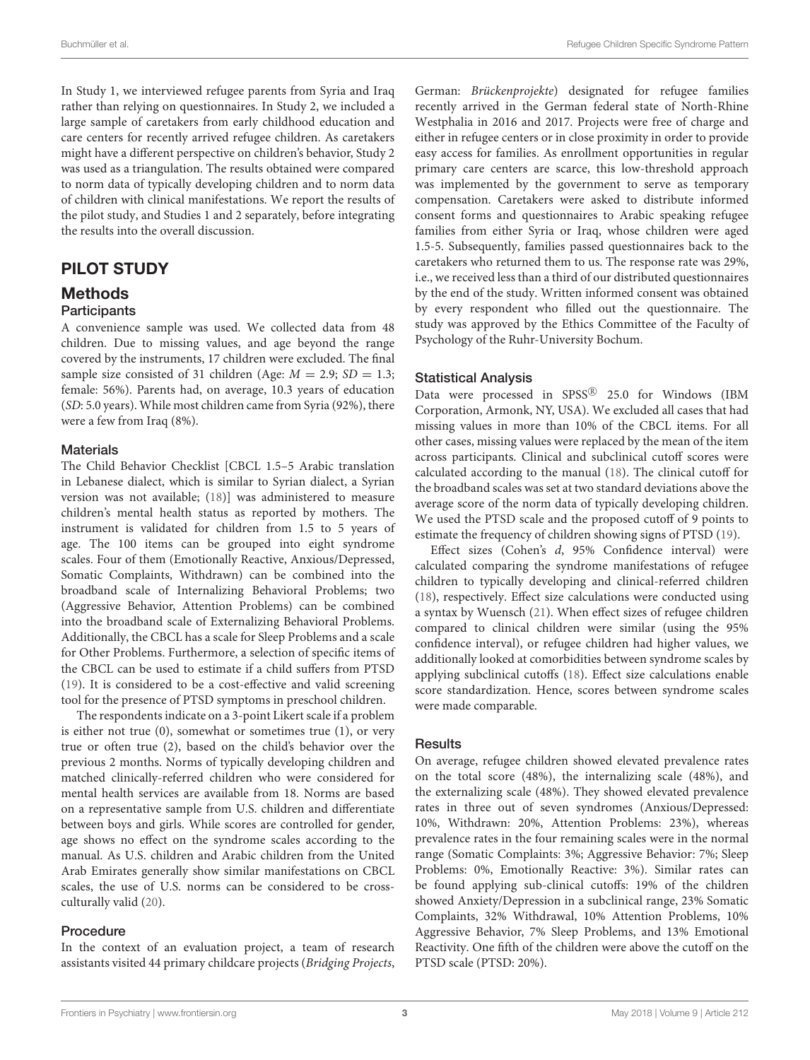In Study 1, we interviewed refugee parents from Syria and Iraq rather than relying on questionnaires. In Study 2, we included a large sample of caretakers from early childhood education and care centers for recently arrived refugee children. As caretakers might have a different perspective on children's behavior, Study 2 was used as a triangulation. The results obtained were compared to norm data of typically developing children and to norm data of children with clinical manifestations. We report the results of the pilot study, and Studies 1 and 2 separately, before integrating the results into the overall discussion.

# PILOT STUDY

## Methods

#### **Participants**

A convenience sample was used. We collected data from 48 children. Due to missing values, and age beyond the range covered by the instruments, 17 children were excluded. The final sample size consisted of 31 children (Age:  $M = 2.9$ ;  $SD = 1.3$ ; female: 56%). Parents had, on average, 10.3 years of education (SD: 5.0 years). While most children came from Syria (92%), there were a few from Iraq (8%).

#### **Materials**

The Child Behavior Checklist [CBCL 1.5–5 Arabic translation in Lebanese dialect, which is similar to Syrian dialect, a Syrian version was not available; [\(18\)](#page-11-11)] was administered to measure children's mental health status as reported by mothers. The instrument is validated for children from 1.5 to 5 years of age. The 100 items can be grouped into eight syndrome scales. Four of them (Emotionally Reactive, Anxious/Depressed, Somatic Complaints, Withdrawn) can be combined into the broadband scale of Internalizing Behavioral Problems; two (Aggressive Behavior, Attention Problems) can be combined into the broadband scale of Externalizing Behavioral Problems. Additionally, the CBCL has a scale for Sleep Problems and a scale for Other Problems. Furthermore, a selection of specific items of the CBCL can be used to estimate if a child suffers from PTSD [\(19\)](#page-11-12). It is considered to be a cost-effective and valid screening tool for the presence of PTSD symptoms in preschool children.

The respondents indicate on a 3-point Likert scale if a problem is either not true (0), somewhat or sometimes true (1), or very true or often true (2), based on the child's behavior over the previous 2 months. Norms of typically developing children and matched clinically-referred children who were considered for mental health services are available from 18. Norms are based on a representative sample from U.S. children and differentiate between boys and girls. While scores are controlled for gender, age shows no effect on the syndrome scales according to the manual. As U.S. children and Arabic children from the United Arab Emirates generally show similar manifestations on CBCL scales, the use of U.S. norms can be considered to be crossculturally valid [\(20\)](#page-11-13).

## **Procedure**

In the context of an evaluation project, a team of research assistants visited 44 primary childcare projects (Bridging Projects, German: Brückenprojekte) designated for refugee families recently arrived in the German federal state of North-Rhine Westphalia in 2016 and 2017. Projects were free of charge and either in refugee centers or in close proximity in order to provide easy access for families. As enrollment opportunities in regular primary care centers are scarce, this low-threshold approach was implemented by the government to serve as temporary compensation. Caretakers were asked to distribute informed consent forms and questionnaires to Arabic speaking refugee families from either Syria or Iraq, whose children were aged 1.5-5. Subsequently, families passed questionnaires back to the caretakers who returned them to us. The response rate was 29%, i.e., we received less than a third of our distributed questionnaires by the end of the study. Written informed consent was obtained by every respondent who filled out the questionnaire. The study was approved by the Ethics Committee of the Faculty of Psychology of the Ruhr-University Bochum.

#### Statistical Analysis

Data were processed in SPSS<sup>®</sup> 25.0 for Windows (IBM Corporation, Armonk, NY, USA). We excluded all cases that had missing values in more than 10% of the CBCL items. For all other cases, missing values were replaced by the mean of the item across participants. Clinical and subclinical cutoff scores were calculated according to the manual [\(18\)](#page-11-11). The clinical cutoff for the broadband scales was set at two standard deviations above the average score of the norm data of typically developing children. We used the PTSD scale and the proposed cutoff of 9 points to estimate the frequency of children showing signs of PTSD [\(19\)](#page-11-12).

Effect sizes (Cohen's d, 95% Confidence interval) were calculated comparing the syndrome manifestations of refugee children to typically developing and clinical-referred children [\(18\)](#page-11-11), respectively. Effect size calculations were conducted using a syntax by Wuensch [\(21\)](#page-11-14). When effect sizes of refugee children compared to clinical children were similar (using the 95% confidence interval), or refugee children had higher values, we additionally looked at comorbidities between syndrome scales by applying subclinical cutoffs [\(18\)](#page-11-11). Effect size calculations enable score standardization. Hence, scores between syndrome scales were made comparable.

#### **Results**

On average, refugee children showed elevated prevalence rates on the total score (48%), the internalizing scale (48%), and the externalizing scale (48%). They showed elevated prevalence rates in three out of seven syndromes (Anxious/Depressed: 10%, Withdrawn: 20%, Attention Problems: 23%), whereas prevalence rates in the four remaining scales were in the normal range (Somatic Complaints: 3%; Aggressive Behavior: 7%; Sleep Problems: 0%, Emotionally Reactive: 3%). Similar rates can be found applying sub-clinical cutoffs: 19% of the children showed Anxiety/Depression in a subclinical range, 23% Somatic Complaints, 32% Withdrawal, 10% Attention Problems, 10% Aggressive Behavior, 7% Sleep Problems, and 13% Emotional Reactivity. One fifth of the children were above the cutoff on the PTSD scale (PTSD: 20%).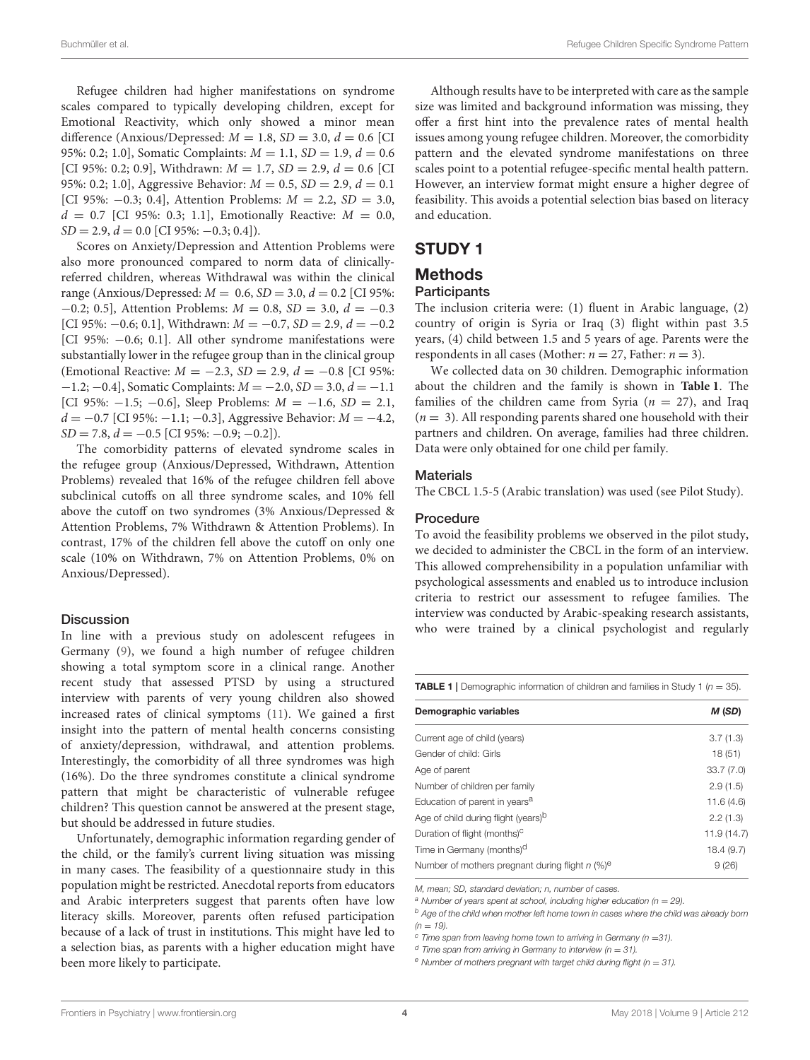Refugee children had higher manifestations on syndrome scales compared to typically developing children, except for Emotional Reactivity, which only showed a minor mean difference (Anxious/Depressed:  $M = 1.8$ ,  $SD = 3.0$ ,  $d = 0.6$  [CI] 95%: 0.2; 1.0], Somatic Complaints:  $M = 1.1$ ,  $SD = 1.9$ ,  $d = 0.6$ [CI 95%: 0.2; 0.9], Withdrawn:  $M = 1.7$ ,  $SD = 2.9$ ,  $d = 0.6$  [CI 95%: 0.2; 1.0], Aggressive Behavior:  $M = 0.5$ ,  $SD = 2.9$ ,  $d = 0.1$ [CI 95%:  $-0.3$ ; 0.4], Attention Problems:  $M = 2.2$ ,  $SD = 3.0$ ,  $d = 0.7$  [CI 95%: 0.3; 1.1], Emotionally Reactive:  $M = 0.0$ ,  $SD = 2.9, d = 0.0$  [CI 95%:  $-0.3; 0.4$ ]).

Scores on Anxiety/Depression and Attention Problems were also more pronounced compared to norm data of clinicallyreferred children, whereas Withdrawal was within the clinical range (Anxious/Depressed:  $M = 0.6$ ,  $SD = 3.0$ ,  $d = 0.2$  [CI 95%:  $-0.2$ ; 0.5], Attention Problems:  $M = 0.8$ ,  $SD = 3.0$ ,  $d = -0.3$ [CI 95%:  $-0.6$ ; 0.1], Withdrawn:  $M = -0.7$ ,  $SD = 2.9$ ,  $d = -0.2$ [CI 95%: −0.6; 0.1]. All other syndrome manifestations were substantially lower in the refugee group than in the clinical group (Emotional Reactive:  $M = -2.3$ ,  $SD = 2.9$ ,  $d = -0.8$  [CI 95%:  $-1.2$ ;  $-0.4$ ], Somatic Complaints:  $M = -2.0$ ,  $SD = 3.0$ ,  $d = -1.1$ [CI 95%:  $-1.5$ ;  $-0.6$ ], Sleep Problems:  $M = -1.6$ , SD = 2.1,  $d = -0.7$  [CI 95%:  $-1.1$ ;  $-0.3$ ], Aggressive Behavior:  $M = -4.2$ ,  $SD = 7.8, d = -0.5$  [CI 95%:  $-0.9; -0.2$ ]).

The comorbidity patterns of elevated syndrome scales in the refugee group (Anxious/Depressed, Withdrawn, Attention Problems) revealed that 16% of the refugee children fell above subclinical cutoffs on all three syndrome scales, and 10% fell above the cutoff on two syndromes (3% Anxious/Depressed & Attention Problems, 7% Withdrawn & Attention Problems). In contrast, 17% of the children fell above the cutoff on only one scale (10% on Withdrawn, 7% on Attention Problems, 0% on Anxious/Depressed).

#### **Discussion**

In line with a previous study on adolescent refugees in Germany [\(9\)](#page-11-2), we found a high number of refugee children showing a total symptom score in a clinical range. Another recent study that assessed PTSD by using a structured interview with parents of very young children also showed increased rates of clinical symptoms [\(11\)](#page-11-3). We gained a first insight into the pattern of mental health concerns consisting of anxiety/depression, withdrawal, and attention problems. Interestingly, the comorbidity of all three syndromes was high (16%). Do the three syndromes constitute a clinical syndrome pattern that might be characteristic of vulnerable refugee children? This question cannot be answered at the present stage, but should be addressed in future studies.

Unfortunately, demographic information regarding gender of the child, or the family's current living situation was missing in many cases. The feasibility of a questionnaire study in this population might be restricted. Anecdotal reports from educators and Arabic interpreters suggest that parents often have low literacy skills. Moreover, parents often refused participation because of a lack of trust in institutions. This might have led to a selection bias, as parents with a higher education might have been more likely to participate.

Although results have to be interpreted with care as the sample size was limited and background information was missing, they offer a first hint into the prevalence rates of mental health issues among young refugee children. Moreover, the comorbidity pattern and the elevated syndrome manifestations on three scales point to a potential refugee-specific mental health pattern. However, an interview format might ensure a higher degree of feasibility. This avoids a potential selection bias based on literacy and education.

# STUDY 1

# Methods

### **Participants**

The inclusion criteria were: (1) fluent in Arabic language, (2) country of origin is Syria or Iraq (3) flight within past 3.5 years, (4) child between 1.5 and 5 years of age. Parents were the respondents in all cases (Mother:  $n = 27$ , Father:  $n = 3$ ).

We collected data on 30 children. Demographic information about the children and the family is shown in **[Table 1](#page-3-0)**. The families of the children came from Syria ( $n = 27$ ), and Iraq  $(n = 3)$ . All responding parents shared one household with their partners and children. On average, families had three children. Data were only obtained for one child per family.

#### **Materials**

The CBCL 1.5-5 (Arabic translation) was used (see Pilot Study).

#### Procedure

To avoid the feasibility problems we observed in the pilot study, we decided to administer the CBCL in the form of an interview. This allowed comprehensibility in a population unfamiliar with psychological assessments and enabled us to introduce inclusion criteria to restrict our assessment to refugee families. The interview was conducted by Arabic-speaking research assistants, who were trained by a clinical psychologist and regularly

<span id="page-3-0"></span>**TABLE 1** | Demographic information of children and families in Study 1 ( $n = 35$ ).

| Demographic variables                                         | M(SD)      |
|---------------------------------------------------------------|------------|
| Current age of child (years)                                  | 3.7(1.3)   |
| Gender of child: Girls                                        | 18(51)     |
| Age of parent                                                 | 33.7(7.0)  |
| Number of children per family                                 | 2.9(1.5)   |
| Education of parent in years <sup>a</sup>                     | 11.6(4.6)  |
| Age of child during flight (years) <sup>b</sup>               | 2.2(1.3)   |
| Duration of flight (months) <sup>C</sup>                      | 11.9(14.7) |
| Time in Germany (months) <sup>d</sup>                         | 18.4(9.7)  |
| Number of mothers pregnant during flight $n$ (%) <sup>e</sup> | 9(26)      |

M, mean; SD, standard deviation; n, number of cases.

<sup>a</sup> Number of years spent at school, including higher education ( $n = 29$ ).

 $b$  Age of the child when mother left home town in cases where the child was already born  $(n = 19)$ 

 $\degree$  Time span from leaving home town to arriving in Germany (n = 31).

 $d$  Time span from arriving in Germany to interview (n = 31).

 $e$  Number of mothers pregnant with target child during flight (n = 31).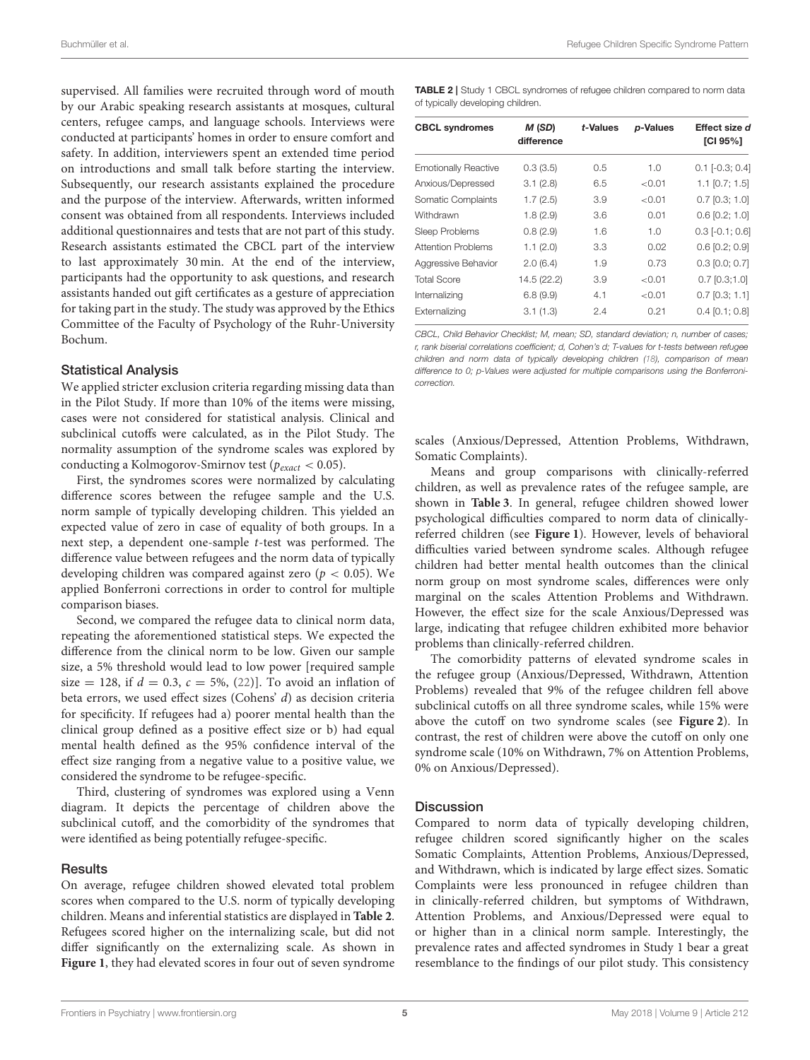Buchmüller et al. **Refugee Children Specific Syndrome Pattern** Specific Syndrome Pattern

supervised. All families were recruited through word of mouth by our Arabic speaking research assistants at mosques, cultural centers, refugee camps, and language schools. Interviews were conducted at participants' homes in order to ensure comfort and safety. In addition, interviewers spent an extended time period on introductions and small talk before starting the interview. Subsequently, our research assistants explained the procedure and the purpose of the interview. Afterwards, written informed consent was obtained from all respondents. Interviews included additional questionnaires and tests that are not part of this study. Research assistants estimated the CBCL part of the interview to last approximately 30 min. At the end of the interview, participants had the opportunity to ask questions, and research assistants handed out gift certificates as a gesture of appreciation for taking part in the study. The study was approved by the Ethics Committee of the Faculty of Psychology of the Ruhr-University Bochum.

#### Statistical Analysis

We applied stricter exclusion criteria regarding missing data than in the Pilot Study. If more than 10% of the items were missing, cases were not considered for statistical analysis. Clinical and subclinical cutoffs were calculated, as in the Pilot Study. The normality assumption of the syndrome scales was explored by conducting a Kolmogorov-Smirnov test ( $p_{exact} < 0.05$ ).

First, the syndromes scores were normalized by calculating difference scores between the refugee sample and the U.S. norm sample of typically developing children. This yielded an expected value of zero in case of equality of both groups. In a next step, a dependent one-sample t-test was performed. The difference value between refugees and the norm data of typically developing children was compared against zero ( $p < 0.05$ ). We applied Bonferroni corrections in order to control for multiple comparison biases.

Second, we compared the refugee data to clinical norm data, repeating the aforementioned statistical steps. We expected the difference from the clinical norm to be low. Given our sample size, a 5% threshold would lead to low power [required sample size = 128, if  $d = 0.3$ ,  $c = 5\%$ , [\(22\)](#page-11-15)]. To avoid an inflation of beta errors, we used effect sizes (Cohens' d) as decision criteria for specificity. If refugees had a) poorer mental health than the clinical group defined as a positive effect size or b) had equal mental health defined as the 95% confidence interval of the effect size ranging from a negative value to a positive value, we considered the syndrome to be refugee-specific.

Third, clustering of syndromes was explored using a Venn diagram. It depicts the percentage of children above the subclinical cutoff, and the comorbidity of the syndromes that were identified as being potentially refugee-specific.

#### **Results**

On average, refugee children showed elevated total problem scores when compared to the U.S. norm of typically developing children. Means and inferential statistics are displayed in **[Table 2](#page-4-0)**. Refugees scored higher on the internalizing scale, but did not differ significantly on the externalizing scale. As shown in **[Figure 1](#page-5-0)**, they had elevated scores in four out of seven syndrome

<span id="page-4-0"></span>TABLE 2 | Study 1 CBCL syndromes of refugee children compared to norm data of typically developing children.

| <b>CBCL syndromes</b>       | M (SD)<br>difference | t-Values | p-Values | Effect size d<br><b>[CI 95%]</b> |
|-----------------------------|----------------------|----------|----------|----------------------------------|
| <b>Emotionally Reactive</b> | 0.3(3.5)             | 0.5      | 1.0      | $0.1$ [-0.3; 0.4]                |
| Anxious/Depressed           | 3.1(2.8)             | 6.5      | < 0.01   | $1.1$ [0.7; $1.5$ ]              |
| Somatic Complaints          | 1.7(2.5)             | 3.9      | < 0.01   | $0.7$ [0.3; 1.0]                 |
| Withdrawn                   | 1.8(2.9)             | 3.6      | 0.01     | $0.6$ [0.2; 1.0]                 |
| <b>Sleep Problems</b>       | 0.8(2.9)             | 1.6      | 1.0      | $0.3$ [-0.1; 0.6]                |
| <b>Attention Problems</b>   | 1.1(2.0)             | 3.3      | 0.02     | $0.6$ [0.2; 0.9]                 |
| Aggressive Behavior         | 2.0(6.4)             | 1.9      | 0.73     | $0.3$ [0.0; 0.7]                 |
| <b>Total Score</b>          | 14.5 (22.2)          | 3.9      | < 0.01   | $0.7$ [0.3;1.0]                  |
| Internalizing               | 6.8(9.9)             | 4.1      | < 0.01   | $0.7$ [0.3; 1.1]                 |
| Externalizing               | 3.1(1.3)             | 2.4      | 0.21     | $0.4$ [0.1; 0.8]                 |
|                             |                      |          |          |                                  |

CBCL, Child Behavior Checklist; M, mean; SD, standard deviation; n, number of cases; r, rank biserial correlations coefficient; d, Cohen's d; T-values for t-tests between refugee children and norm data of typically developing children [\(18\)](#page-11-11), comparison of mean difference to 0; p-Values were adjusted for multiple comparisons using the Bonferronicorrection.

scales (Anxious/Depressed, Attention Problems, Withdrawn, Somatic Complaints).

Means and group comparisons with clinically-referred children, as well as prevalence rates of the refugee sample, are shown in **[Table 3](#page-5-1)**. In general, refugee children showed lower psychological difficulties compared to norm data of clinicallyreferred children (see **[Figure 1](#page-5-0)**). However, levels of behavioral difficulties varied between syndrome scales. Although refugee children had better mental health outcomes than the clinical norm group on most syndrome scales, differences were only marginal on the scales Attention Problems and Withdrawn. However, the effect size for the scale Anxious/Depressed was large, indicating that refugee children exhibited more behavior problems than clinically-referred children.

The comorbidity patterns of elevated syndrome scales in the refugee group (Anxious/Depressed, Withdrawn, Attention Problems) revealed that 9% of the refugee children fell above subclinical cutoffs on all three syndrome scales, while 15% were above the cutoff on two syndrome scales (see **[Figure 2](#page-6-0)**). In contrast, the rest of children were above the cutoff on only one syndrome scale (10% on Withdrawn, 7% on Attention Problems, 0% on Anxious/Depressed).

#### **Discussion**

Compared to norm data of typically developing children, refugee children scored significantly higher on the scales Somatic Complaints, Attention Problems, Anxious/Depressed, and Withdrawn, which is indicated by large effect sizes. Somatic Complaints were less pronounced in refugee children than in clinically-referred children, but symptoms of Withdrawn, Attention Problems, and Anxious/Depressed were equal to or higher than in a clinical norm sample. Interestingly, the prevalence rates and affected syndromes in Study 1 bear a great resemblance to the findings of our pilot study. This consistency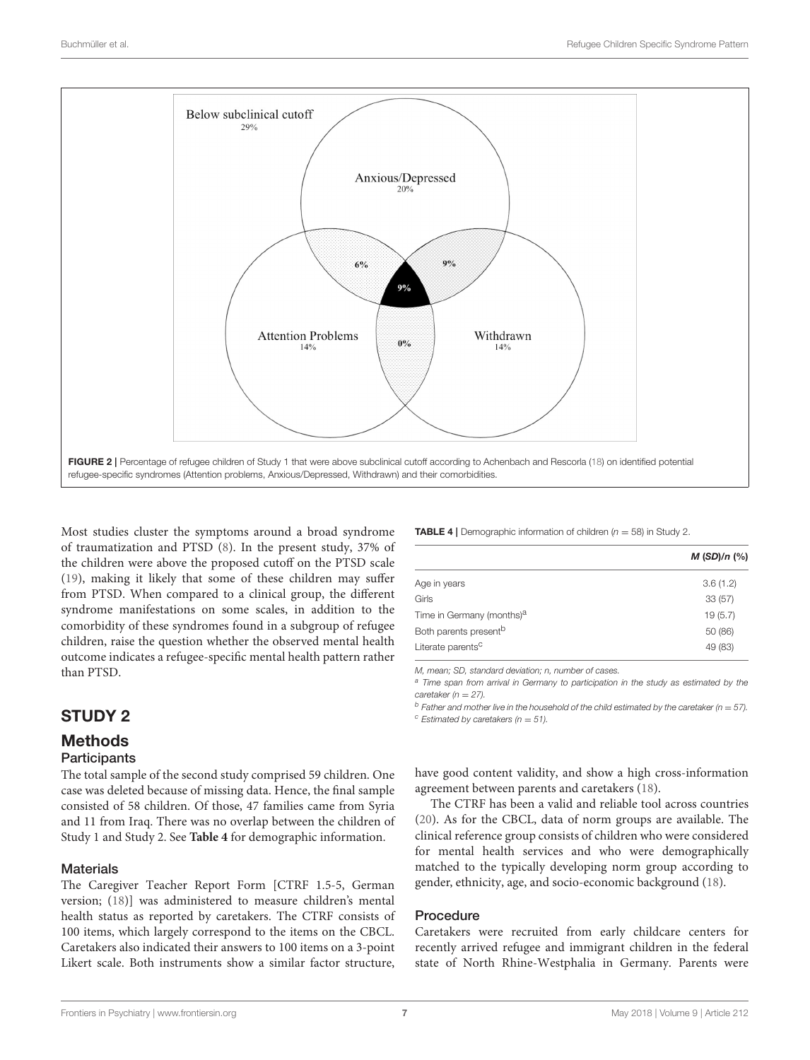

<span id="page-6-0"></span>Most studies cluster the symptoms around a broad syndrome of traumatization and PTSD [\(8\)](#page-11-1). In the present study, 37% of the children were above the proposed cutoff on the PTSD scale [\(19\)](#page-11-12), making it likely that some of these children may suffer from PTSD. When compared to a clinical group, the different syndrome manifestations on some scales, in addition to the comorbidity of these syndromes found in a subgroup of refugee children, raise the question whether the observed mental health outcome indicates a refugee-specific mental health pattern rather than PTSD.

# STUDY 2

## Methods

#### **Participants**

The total sample of the second study comprised 59 children. One case was deleted because of missing data. Hence, the final sample consisted of 58 children. Of those, 47 families came from Syria and 11 from Iraq. There was no overlap between the children of Study 1 and Study 2. See **[Table 4](#page-6-1)** for demographic information.

#### **Materials**

The Caregiver Teacher Report Form [CTRF 1.5-5, German version; [\(18\)](#page-11-11)] was administered to measure children's mental health status as reported by caretakers. The CTRF consists of 100 items, which largely correspond to the items on the CBCL. Caretakers also indicated their answers to 100 items on a 3-point Likert scale. Both instruments show a similar factor structure, <span id="page-6-1"></span>**TABLE 4** | Demographic information of children  $(n = 58)$  in Study 2.

|                                       | $M(SD)/n$ (%) |
|---------------------------------------|---------------|
| Age in years                          | 3.6(1.2)      |
| Girls                                 | 33(57)        |
| Time in Germany (months) <sup>a</sup> | 19(5.7)       |
| Both parents present <sup>b</sup>     | 50 (86)       |
| Literate parents <sup>c</sup>         | 49 (83)       |

M, mean; SD, standard deviation; n, number of cases

a Time span from arrival in Germany to participation in the study as estimated by the caretaker ( $n = 27$ ).

 $<sup>b</sup>$  Father and mother live in the household of the child estimated by the caretaker (n = 57).</sup>  $\textdegree$  Estimated by caretakers (n = 51).

have good content validity, and show a high cross-information agreement between parents and caretakers [\(18\)](#page-11-11).

The CTRF has been a valid and reliable tool across countries [\(20\)](#page-11-13). As for the CBCL, data of norm groups are available. The clinical reference group consists of children who were considered for mental health services and who were demographically matched to the typically developing norm group according to gender, ethnicity, age, and socio-economic background [\(18\)](#page-11-11).

#### Procedure

Caretakers were recruited from early childcare centers for recently arrived refugee and immigrant children in the federal state of North Rhine-Westphalia in Germany. Parents were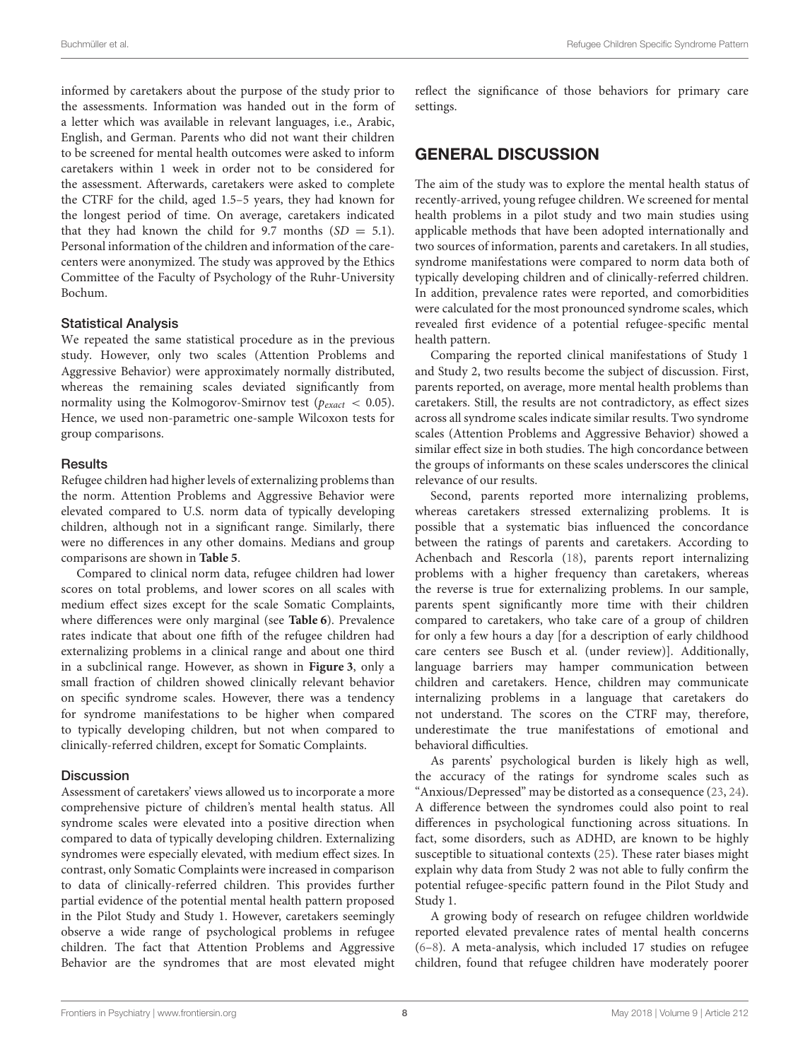informed by caretakers about the purpose of the study prior to the assessments. Information was handed out in the form of a letter which was available in relevant languages, i.e., Arabic, English, and German. Parents who did not want their children to be screened for mental health outcomes were asked to inform caretakers within 1 week in order not to be considered for the assessment. Afterwards, caretakers were asked to complete the CTRF for the child, aged 1.5–5 years, they had known for the longest period of time. On average, caretakers indicated that they had known the child for 9.7 months  $(SD = 5.1)$ . Personal information of the children and information of the carecenters were anonymized. The study was approved by the Ethics Committee of the Faculty of Psychology of the Ruhr-University Bochum.

#### Statistical Analysis

We repeated the same statistical procedure as in the previous study. However, only two scales (Attention Problems and Aggressive Behavior) were approximately normally distributed, whereas the remaining scales deviated significantly from normality using the Kolmogorov-Smirnov test ( $p_{exact} < 0.05$ ). Hence, we used non-parametric one-sample Wilcoxon tests for group comparisons.

#### **Results**

Refugee children had higher levels of externalizing problems than the norm. Attention Problems and Aggressive Behavior were elevated compared to U.S. norm data of typically developing children, although not in a significant range. Similarly, there were no differences in any other domains. Medians and group comparisons are shown in **[Table 5](#page-8-0)**.

Compared to clinical norm data, refugee children had lower scores on total problems, and lower scores on all scales with medium effect sizes except for the scale Somatic Complaints, where differences were only marginal (see **[Table 6](#page-8-1)**). Prevalence rates indicate that about one fifth of the refugee children had externalizing problems in a clinical range and about one third in a subclinical range. However, as shown in **[Figure 3](#page-9-0)**, only a small fraction of children showed clinically relevant behavior on specific syndrome scales. However, there was a tendency for syndrome manifestations to be higher when compared to typically developing children, but not when compared to clinically-referred children, except for Somatic Complaints.

#### **Discussion**

Assessment of caretakers' views allowed us to incorporate a more comprehensive picture of children's mental health status. All syndrome scales were elevated into a positive direction when compared to data of typically developing children. Externalizing syndromes were especially elevated, with medium effect sizes. In contrast, only Somatic Complaints were increased in comparison to data of clinically-referred children. This provides further partial evidence of the potential mental health pattern proposed in the Pilot Study and Study 1. However, caretakers seemingly observe a wide range of psychological problems in refugee children. The fact that Attention Problems and Aggressive Behavior are the syndromes that are most elevated might reflect the significance of those behaviors for primary care settings.

## GENERAL DISCUSSION

The aim of the study was to explore the mental health status of recently-arrived, young refugee children. We screened for mental health problems in a pilot study and two main studies using applicable methods that have been adopted internationally and two sources of information, parents and caretakers. In all studies, syndrome manifestations were compared to norm data both of typically developing children and of clinically-referred children. In addition, prevalence rates were reported, and comorbidities were calculated for the most pronounced syndrome scales, which revealed first evidence of a potential refugee-specific mental health pattern.

Comparing the reported clinical manifestations of Study 1 and Study 2, two results become the subject of discussion. First, parents reported, on average, more mental health problems than caretakers. Still, the results are not contradictory, as effect sizes across all syndrome scales indicate similar results. Two syndrome scales (Attention Problems and Aggressive Behavior) showed a similar effect size in both studies. The high concordance between the groups of informants on these scales underscores the clinical relevance of our results.

Second, parents reported more internalizing problems, whereas caretakers stressed externalizing problems. It is possible that a systematic bias influenced the concordance between the ratings of parents and caretakers. According to Achenbach and Rescorla [\(18\)](#page-11-11), parents report internalizing problems with a higher frequency than caretakers, whereas the reverse is true for externalizing problems. In our sample, parents spent significantly more time with their children compared to caretakers, who take care of a group of children for only a few hours a day [for a description of early childhood care centers see Busch et al. (under review)]. Additionally, language barriers may hamper communication between children and caretakers. Hence, children may communicate internalizing problems in a language that caretakers do not understand. The scores on the CTRF may, therefore, underestimate the true manifestations of emotional and behavioral difficulties.

As parents' psychological burden is likely high as well, the accuracy of the ratings for syndrome scales such as "Anxious/Depressed" may be distorted as a consequence [\(23,](#page-11-16) [24\)](#page-11-17). A difference between the syndromes could also point to real differences in psychological functioning across situations. In fact, some disorders, such as ADHD, are known to be highly susceptible to situational contexts [\(25\)](#page-11-18). These rater biases might explain why data from Study 2 was not able to fully confirm the potential refugee-specific pattern found in the Pilot Study and Study 1.

A growing body of research on refugee children worldwide reported elevated prevalence rates of mental health concerns [\(6–](#page-10-5)[8\)](#page-11-1). A meta-analysis, which included 17 studies on refugee children, found that refugee children have moderately poorer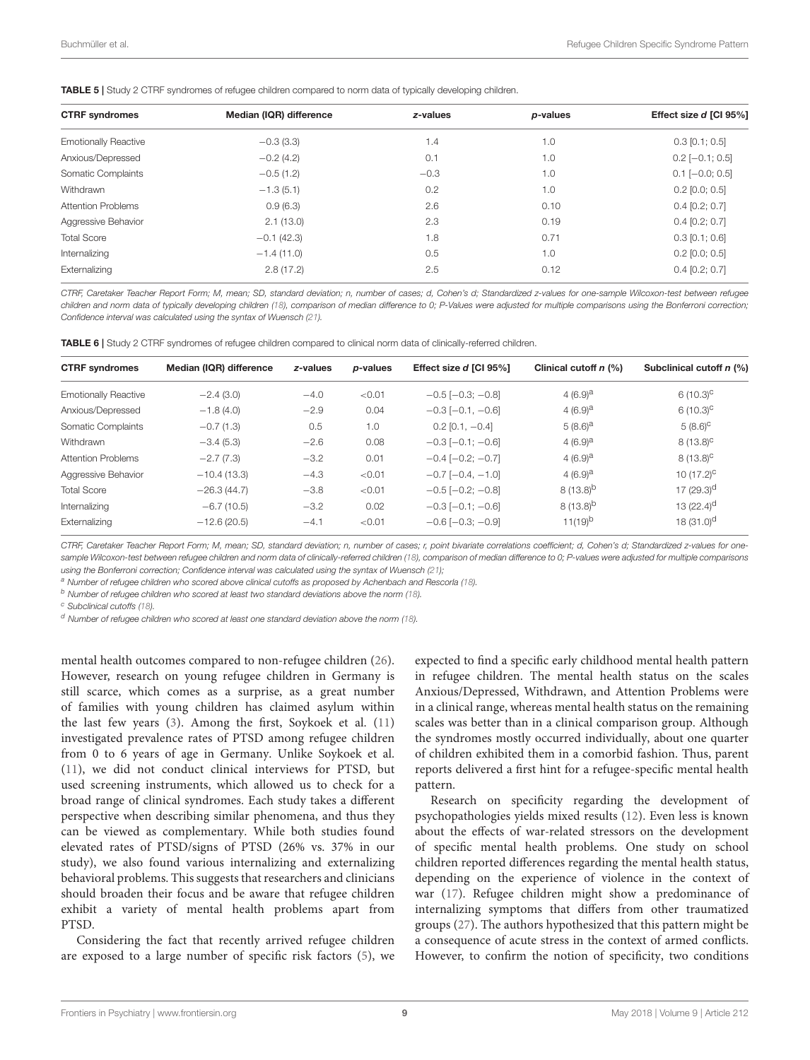<span id="page-8-0"></span>

| <b>CTRF syndromes</b>       | Median (IQR) difference | z-values | p-values | Effect size $d$ [Cl 95%] |
|-----------------------------|-------------------------|----------|----------|--------------------------|
| <b>Emotionally Reactive</b> | $-0.3(3.3)$             | 1.4      | 1.0      | $0.3$ [0.1; 0.5]         |
| Anxious/Depressed           | $-0.2(4.2)$             | 0.1      | 1.0      | $0.2$ [-0.1; 0.5]        |
| Somatic Complaints          | $-0.5(1.2)$             | $-0.3$   | 1.0      | $0.1$ [ $-0.0; 0.5$ ]    |
| Withdrawn                   | $-1.3(5.1)$             | 0.2      | 1.0      | $0.2$ [0.0; 0.5]         |
| <b>Attention Problems</b>   | 0.9(6.3)                | 2.6      | 0.10     | $0.4$ [0.2; 0.7]         |
| Aggressive Behavior         | 2.1(13.0)               | 2.3      | 0.19     | $0.4$ [0.2; 0.7]         |
| <b>Total Score</b>          | $-0.1(42.3)$            | 1.8      | 0.71     | $0.3$ [0.1; 0.6]         |
| Internalizing               | $-1.4(11.0)$            | 0.5      | 1.0      | $0.2$ [0.0; 0.5]         |
| Externalizing               | 2.8(17.2)               | 2.5      | 0.12     | $0.4$ [0.2; 0.7]         |
|                             |                         |          |          |                          |

CTRF, Caretaker Teacher Report Form; M, mean; SD, standard deviation; n, number of cases; d, Cohen's d; Standardized z-values for one-sample Wilcoxon-test between refugee children and norm data of typically developing children [\(18\)](#page-11-11), comparison of median difference to 0; P-Values were adjusted for multiple comparisons using the Bonferroni correction; Confidence interval was calculated using the syntax of Wuensch [\(21\)](#page-11-14).

<span id="page-8-1"></span>TABLE 6 | Study 2 CTRF syndromes of refugee children compared to clinical norm data of clinically-referred children.

| <b>CTRF syndromes</b>       | Median (IQR) difference | z-values | <i>p</i> -values | Effect size $d$ [CI 95%]   | Clinical cutoff $n$ (%) | Subclinical cutoff n (%) |
|-----------------------------|-------------------------|----------|------------------|----------------------------|-------------------------|--------------------------|
| <b>Emotionally Reactive</b> | $-2.4(3.0)$             | $-4.0$   | < 0.01           | $-0.5$ [ $-0.3$ ; $-0.8$ ] | 4 $(6.9)^a$             | $6(10.3)^{c}$            |
| Anxious/Depressed           | $-1.8(4.0)$             | $-2.9$   | 0.04             | $-0.3$ [ $-0.1$ , $-0.6$ ] | 4 $(6.9)^a$             | $6(10.3)^{c}$            |
| Somatic Complaints          | $-0.7(1.3)$             | 0.5      | 1.0              | $0.2$ [0.1, $-0.4$ ]       | $5(8.6)^a$              | $5(8.6)^{c}$             |
| Withdrawn                   | $-3.4(5.3)$             | $-2.6$   | 0.08             | $-0.3$ [ $-0.1$ ; $-0.6$ ] | 4 $(6.9)^a$             | $8(13.8)^{c}$            |
| <b>Attention Problems</b>   | $-2.7(7.3)$             | $-3.2$   | 0.01             | $-0.4$ [ $-0.2$ ; $-0.7$ ] | 4 $(6.9)^a$             | $8(13.8)^{C}$            |
| Aggressive Behavior         | $-10.4(13.3)$           | $-4.3$   | < 0.01           | $-0.7$ [ $-0.4$ , $-1.0$ ] | 4 $(6.9)^a$             | 10 $(17.2)^{\circ}$      |
| <b>Total Score</b>          | $-26.3(44.7)$           | $-3.8$   | < 0.01           | $-0.5$ [ $-0.2$ ; $-0.8$ ] | $8(13.8)^{b}$           | 17 $(29.3)$ <sup>d</sup> |
| Internalizing               | $-6.7(10.5)$            | $-3.2$   | 0.02             | $-0.3$ [ $-0.1$ ; $-0.6$ ] | $8(13.8)^{b}$           | 13 $(22.4)$ <sup>d</sup> |
| Externalizing               | $-12.6(20.5)$           | $-4.1$   | < 0.01           | $-0.6$ [ $-0.3$ ; $-0.9$ ] | $11(19)^b$              | 18 $(31.0)^d$            |

CTRF, Caretaker Teacher Report Form; M, mean; SD, standard deviation; n, number of cases; r, point bivariate correlations coefficient; d, Cohen's d; Standardized z-values for one-sample Wilcoxon-test between refugee children and norm data of clinically-referred children [\(18\)](#page-11-11), comparison of median difference to 0; P-values were adjusted for multiple comparisons using the Bonferroni correction; Confidence interval was calculated using the syntax of Wuensch [\(21\)](#page-11-14);

a Number of refugee children who scored above clinical cutoffs as proposed by Achenbach and Rescorla [\(18\)](#page-11-11).

 $<sup>b</sup>$  Number of refugee children who scored at least two standard deviations above the norm [\(18\)](#page-11-11).</sup>

<sup>c</sup> Subclinical cutoffs [\(18\)](#page-11-11).

 $<sup>d</sup>$  Number of refugee children who scored at least one standard deviation above the norm [\(18\)](#page-11-11).</sup>

mental health outcomes compared to non-refugee children [\(26\)](#page-11-19). However, research on young refugee children in Germany is still scarce, which comes as a surprise, as a great number of families with young children has claimed asylum within the last few years [\(3\)](#page-10-2). Among the first, Soykoek et al. [\(11\)](#page-11-3) investigated prevalence rates of PTSD among refugee children from 0 to 6 years of age in Germany. Unlike Soykoek et al. [\(11\)](#page-11-3), we did not conduct clinical interviews for PTSD, but used screening instruments, which allowed us to check for a broad range of clinical syndromes. Each study takes a different perspective when describing similar phenomena, and thus they can be viewed as complementary. While both studies found elevated rates of PTSD/signs of PTSD (26% vs. 37% in our study), we also found various internalizing and externalizing behavioral problems. This suggests that researchers and clinicians should broaden their focus and be aware that refugee children exhibit a variety of mental health problems apart from PTSD.

Considering the fact that recently arrived refugee children are exposed to a large number of specific risk factors [\(5\)](#page-10-4), we expected to find a specific early childhood mental health pattern in refugee children. The mental health status on the scales Anxious/Depressed, Withdrawn, and Attention Problems were in a clinical range, whereas mental health status on the remaining scales was better than in a clinical comparison group. Although the syndromes mostly occurred individually, about one quarter of children exhibited them in a comorbid fashion. Thus, parent reports delivered a first hint for a refugee-specific mental health pattern.

Research on specificity regarding the development of psychopathologies yields mixed results [\(12\)](#page-11-5). Even less is known about the effects of war-related stressors on the development of specific mental health problems. One study on school children reported differences regarding the mental health status, depending on the experience of violence in the context of war [\(17\)](#page-11-10). Refugee children might show a predominance of internalizing symptoms that differs from other traumatized groups [\(27\)](#page-11-20). The authors hypothesized that this pattern might be a consequence of acute stress in the context of armed conflicts. However, to confirm the notion of specificity, two conditions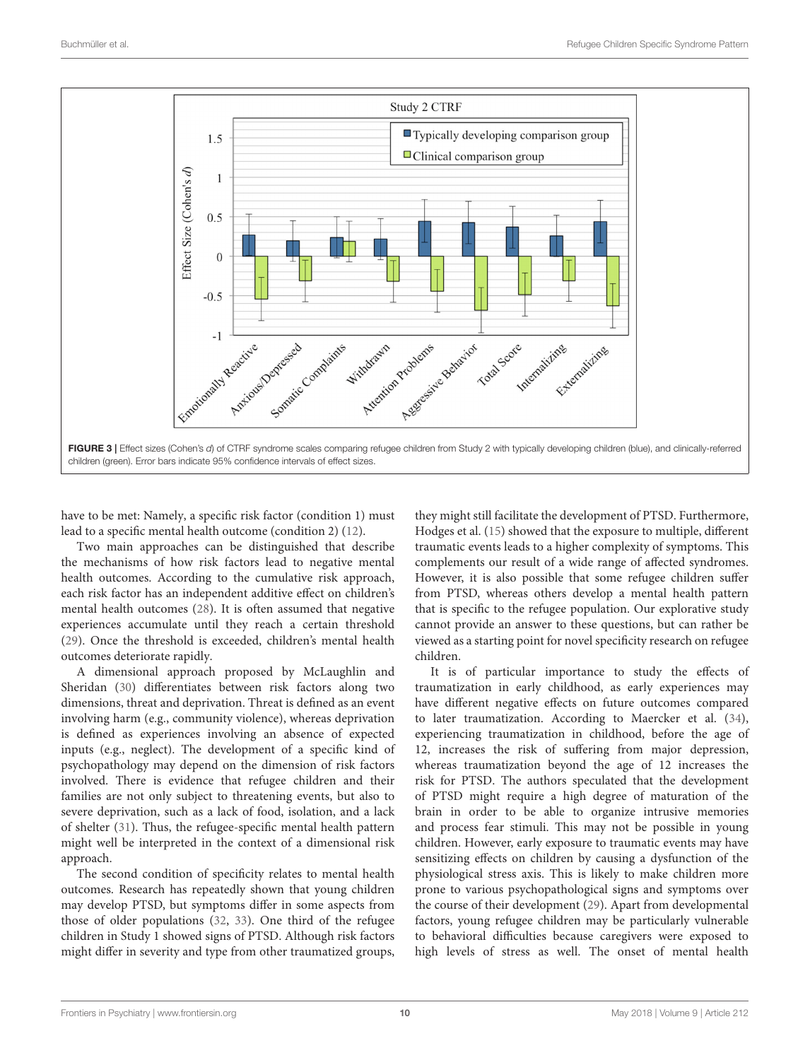

<span id="page-9-0"></span>have to be met: Namely, a specific risk factor (condition 1) must lead to a specific mental health outcome (condition 2) [\(12\)](#page-11-5).

Two main approaches can be distinguished that describe the mechanisms of how risk factors lead to negative mental health outcomes. According to the cumulative risk approach, each risk factor has an independent additive effect on children's mental health outcomes [\(28\)](#page-11-21). It is often assumed that negative experiences accumulate until they reach a certain threshold [\(29\)](#page-11-22). Once the threshold is exceeded, children's mental health outcomes deteriorate rapidly.

A dimensional approach proposed by McLaughlin and Sheridan [\(30\)](#page-11-23) differentiates between risk factors along two dimensions, threat and deprivation. Threat is defined as an event involving harm (e.g., community violence), whereas deprivation is defined as experiences involving an absence of expected inputs (e.g., neglect). The development of a specific kind of psychopathology may depend on the dimension of risk factors involved. There is evidence that refugee children and their families are not only subject to threatening events, but also to severe deprivation, such as a lack of food, isolation, and a lack of shelter [\(31\)](#page-11-24). Thus, the refugee-specific mental health pattern might well be interpreted in the context of a dimensional risk approach.

The second condition of specificity relates to mental health outcomes. Research has repeatedly shown that young children may develop PTSD, but symptoms differ in some aspects from those of older populations [\(32,](#page-11-25) [33\)](#page-11-26). One third of the refugee children in Study 1 showed signs of PTSD. Although risk factors might differ in severity and type from other traumatized groups, they might still facilitate the development of PTSD. Furthermore, Hodges et al. [\(15\)](#page-11-8) showed that the exposure to multiple, different traumatic events leads to a higher complexity of symptoms. This complements our result of a wide range of affected syndromes. However, it is also possible that some refugee children suffer from PTSD, whereas others develop a mental health pattern that is specific to the refugee population. Our explorative study cannot provide an answer to these questions, but can rather be viewed as a starting point for novel specificity research on refugee children.

It is of particular importance to study the effects of traumatization in early childhood, as early experiences may have different negative effects on future outcomes compared to later traumatization. According to Maercker et al. [\(34\)](#page-11-27), experiencing traumatization in childhood, before the age of 12, increases the risk of suffering from major depression, whereas traumatization beyond the age of 12 increases the risk for PTSD. The authors speculated that the development of PTSD might require a high degree of maturation of the brain in order to be able to organize intrusive memories and process fear stimuli. This may not be possible in young children. However, early exposure to traumatic events may have sensitizing effects on children by causing a dysfunction of the physiological stress axis. This is likely to make children more prone to various psychopathological signs and symptoms over the course of their development [\(29\)](#page-11-22). Apart from developmental factors, young refugee children may be particularly vulnerable to behavioral difficulties because caregivers were exposed to high levels of stress as well. The onset of mental health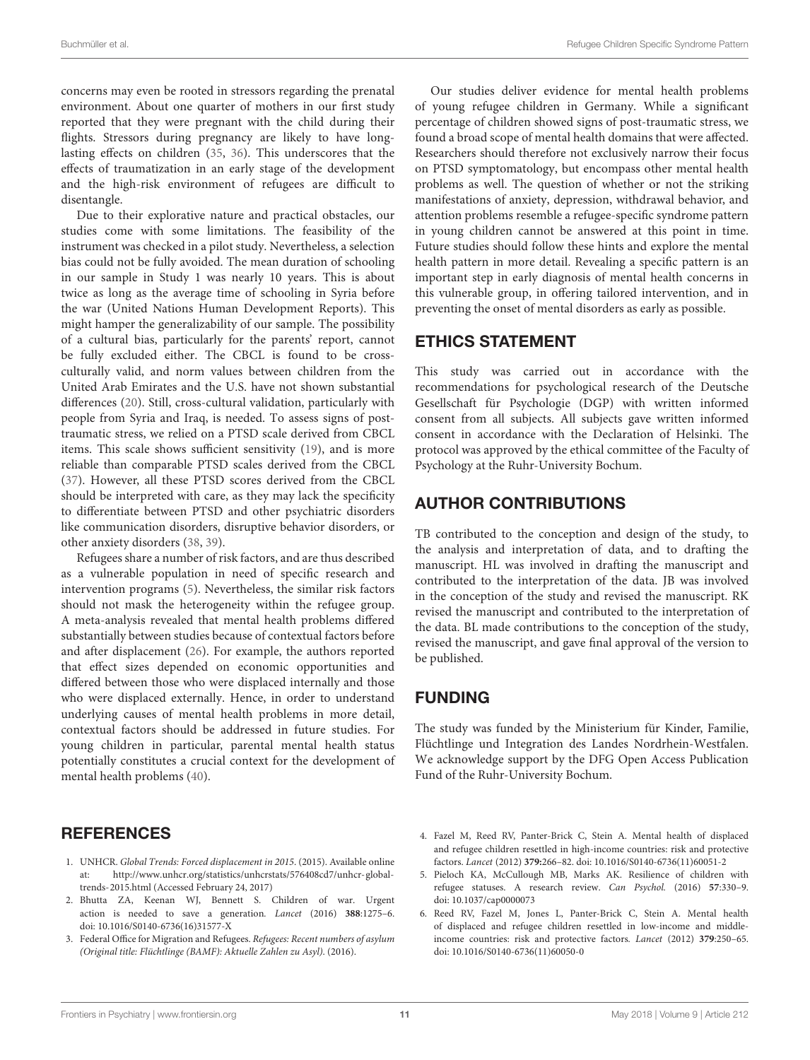concerns may even be rooted in stressors regarding the prenatal environment. About one quarter of mothers in our first study reported that they were pregnant with the child during their flights. Stressors during pregnancy are likely to have longlasting effects on children [\(35,](#page-11-28) [36\)](#page-11-29). This underscores that the effects of traumatization in an early stage of the development and the high-risk environment of refugees are difficult to disentangle.

Due to their explorative nature and practical obstacles, our studies come with some limitations. The feasibility of the instrument was checked in a pilot study. Nevertheless, a selection bias could not be fully avoided. The mean duration of schooling in our sample in Study 1 was nearly 10 years. This is about twice as long as the average time of schooling in Syria before the war (United Nations Human Development Reports). This might hamper the generalizability of our sample. The possibility of a cultural bias, particularly for the parents' report, cannot be fully excluded either. The CBCL is found to be crossculturally valid, and norm values between children from the United Arab Emirates and the U.S. have not shown substantial differences [\(20\)](#page-11-13). Still, cross-cultural validation, particularly with people from Syria and Iraq, is needed. To assess signs of posttraumatic stress, we relied on a PTSD scale derived from CBCL items. This scale shows sufficient sensitivity [\(19\)](#page-11-12), and is more reliable than comparable PTSD scales derived from the CBCL [\(37\)](#page-11-30). However, all these PTSD scores derived from the CBCL should be interpreted with care, as they may lack the specificity to differentiate between PTSD and other psychiatric disorders like communication disorders, disruptive behavior disorders, or other anxiety disorders [\(38,](#page-11-31) [39\)](#page-11-32).

Refugees share a number of risk factors, and are thus described as a vulnerable population in need of specific research and intervention programs [\(5\)](#page-10-4). Nevertheless, the similar risk factors should not mask the heterogeneity within the refugee group. A meta-analysis revealed that mental health problems differed substantially between studies because of contextual factors before and after displacement [\(26\)](#page-11-19). For example, the authors reported that effect sizes depended on economic opportunities and differed between those who were displaced internally and those who were displaced externally. Hence, in order to understand underlying causes of mental health problems in more detail, contextual factors should be addressed in future studies. For young children in particular, parental mental health status potentially constitutes a crucial context for the development of mental health problems [\(40\)](#page-11-33).

# **REFERENCES**

- <span id="page-10-0"></span>1. UNHCR. Global Trends: Forced displacement in 2015. (2015). Available online at: [http://www.unhcr.org/statistics/unhcrstats/576408cd7/unhcr-global](http://www.unhcr.org/statistics/unhcrstats/576408cd7/unhcr-global-trends-2015.html)[trends-2015.html](http://www.unhcr.org/statistics/unhcrstats/576408cd7/unhcr-global-trends-2015.html) (Accessed February 24, 2017)
- <span id="page-10-1"></span>2. Bhutta ZA, Keenan WJ, Bennett S. Children of war. Urgent action is needed to save a generation. Lancet (2016) **388**:1275–6. doi: [10.1016/S0140-6736\(16\)31577-X](https://doi.org/10.1016/S0140-6736(16)31577-X)
- <span id="page-10-2"></span>3. Federal Office for Migration and Refugees. Refugees: Recent numbers of asylum (Original title: Flüchtlinge (BAMF): Aktuelle Zahlen zu Asyl). (2016).

Our studies deliver evidence for mental health problems of young refugee children in Germany. While a significant percentage of children showed signs of post-traumatic stress, we found a broad scope of mental health domains that were affected. Researchers should therefore not exclusively narrow their focus on PTSD symptomatology, but encompass other mental health problems as well. The question of whether or not the striking manifestations of anxiety, depression, withdrawal behavior, and attention problems resemble a refugee-specific syndrome pattern in young children cannot be answered at this point in time. Future studies should follow these hints and explore the mental health pattern in more detail. Revealing a specific pattern is an important step in early diagnosis of mental health concerns in this vulnerable group, in offering tailored intervention, and in preventing the onset of mental disorders as early as possible.

## ETHICS STATEMENT

This study was carried out in accordance with the recommendations for psychological research of the Deutsche Gesellschaft für Psychologie (DGP) with written informed consent from all subjects. All subjects gave written informed consent in accordance with the Declaration of Helsinki. The protocol was approved by the ethical committee of the Faculty of Psychology at the Ruhr-University Bochum.

# AUTHOR CONTRIBUTIONS

TB contributed to the conception and design of the study, to the analysis and interpretation of data, and to drafting the manuscript. HL was involved in drafting the manuscript and contributed to the interpretation of the data. JB was involved in the conception of the study and revised the manuscript. RK revised the manuscript and contributed to the interpretation of the data. BL made contributions to the conception of the study, revised the manuscript, and gave final approval of the version to be published.

## FUNDING

The study was funded by the Ministerium für Kinder, Familie, Flüchtlinge und Integration des Landes Nordrhein-Westfalen. We acknowledge support by the DFG Open Access Publication Fund of the Ruhr-University Bochum.

- <span id="page-10-3"></span>4. Fazel M, Reed RV, Panter-Brick C, Stein A. Mental health of displaced and refugee children resettled in high-income countries: risk and protective factors. Lancet (2012) **379:**266–82. doi: [10.1016/S0140-6736\(11\)60051-2](https://doi.org/10.1016/S0140-6736(11)60051-2)
- <span id="page-10-4"></span>5. Pieloch KA, McCullough MB, Marks AK. Resilience of children with refugee statuses. A research review. Can Psychol. (2016) **57**:330–9. doi: [10.1037/cap0000073](https://doi.org/10.1037/cap0000073)
- <span id="page-10-5"></span>6. Reed RV, Fazel M, Jones L, Panter-Brick C, Stein A. Mental health of displaced and refugee children resettled in low-income and middleincome countries: risk and protective factors. Lancet (2012) **379**:250–65. doi: [10.1016/S0140-6736\(11\)60050-0](https://doi.org/10.1016/S0140-6736(11)60050-0)